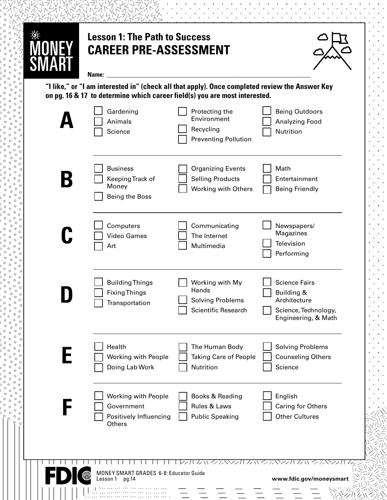| <b>CAREER PRE-ASSESSMENT</b><br>Name:                                                                                                                                        |                                                                            |                                                                                                   |
|------------------------------------------------------------------------------------------------------------------------------------------------------------------------------|----------------------------------------------------------------------------|---------------------------------------------------------------------------------------------------|
| "I like," or "I am interested in" (check all that apply). Once completed review the Answer Key<br>on pg. 16 & 17 to determine which career field(s) you are most interested. |                                                                            |                                                                                                   |
| Gardening<br>Animals<br>Science                                                                                                                                              | Protecting the<br>Environment<br>Recycling<br><b>Preventing Pollution</b>  | <b>Being Outdoors</b><br><b>Analyzing Food</b><br>Nutrition                                       |
| <b>Business</b><br>Keeping Track of<br>Money<br><b>Being the Boss</b>                                                                                                        | <b>Organizing Events</b><br><b>Selling Products</b><br>Working with Others | Math<br>Entertainment<br><b>Being Friendly</b>                                                    |
| Computers<br><b>Video Games</b><br>Art                                                                                                                                       | Communicating<br>The Internet<br>Multimedia                                | Newspapers/<br>Magazines<br>Television<br>Performing                                              |
| <b>Building Things</b><br><b>Fixing Things</b><br>Transportation                                                                                                             | Working with My<br>Hands<br><b>Solving Problems</b><br>Scientific Research | <b>Science Fairs</b><br>Building &<br>Architecture<br>Science, Technology,<br>Engineering, & Math |
| Health<br>Working with People<br>Doing Lab Work                                                                                                                              | The Human Body<br><b>Taking Care of People</b><br>Nutrition                | <b>Solving Problems</b><br><b>Counseling Others</b><br>Science                                    |
| Working with People<br>Government<br>Positively Influencing<br>Others                                                                                                        | Books & Reading<br>Rules & Laws<br><b>Public Speaking</b>                  | English<br><b>Caring for Others</b><br><b>Other Cultures</b>                                      |
| MONEY SMART GRADES 6-8: Educator Guide                                                                                                                                       | ンパルハン ルマンハ                                                                 |                                                                                                   |

ė, e.  $\ddot{\phantom{0}}$  $\ddot{\phantom{0}}$ i.

k,

 $\mathbb{Z}^{\mathbb{Z}}$  $\mathcal{L}^{\mathcal{L}}$  $\mathcal{L}^{\pm}$ .  $\mathbb{R}^3$ 

 $\mathcal{L}^{\pm}$ 

¥.  $\ddot{\phantom{0}}$ 

¥.

 $\mathbb{R}^3$ 

p.

р.

 $\ddot{\phantom{0}}$ 

 $\mathbf{C}$  $\circ$  $\circ$  $\circ$ 

 $\circ$  $\circ$  $\circ$ Í

i. ٔ י<br>ג

ľ  $\begin{matrix}0&0\\0&0\\0&0\\0&0\end{matrix}$ 

 $\overline{\phantom{a}}$ 

ٔ

Ï 。。。<br>。。。

 $\begin{matrix}0\\0\\0\\0\end{matrix}$  $\overline{\phantom{a}}$ 

 $\overline{a}$  $\circ$  $\circ$ 

 $\mathbf{r}$ 

 $\ddot{\phantom{0}}$  $\circ$  $\circ$  $\circ$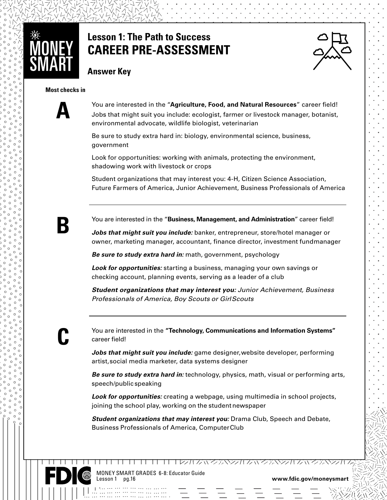

## **Lesson 1: The Path to Success CAREER PRE-ASSESSMENT**



**Answer Key**

**www.fdic.gov/moneysmart**

#### **Most checks in**



You are interested in the "**Agriculture, Food, and Natural Resources**" career field! Jobs that might suit you include: ecologist, farmer or livestock manager, botanist, environmental advocate, wildlife biologist, veterinarian

Be sure to study extra hard in: biology, environmental science, business, government

Look for opportunities: working with animals, protecting the environment, shadowing work with livestock or crops

Student organizations that may interest you: 4-H, Citizen Science Association, Future Farmers of America, Junior Achievement, Business Professionals of America



You are interested in the "**Business, Management, and Administration**" career field!

*Jobs that might suit you include:* banker, entrepreneur, store/hotel manager or owner, marketing manager, accountant, finance director, investment fund manager

*Be sure to study extra hard in:* math, government, psychology

*Look for opportunities:* starting a business, managing your own savings or checking account, planning events, serving as a leader of a club

*Student organizations that may interest you: Junior Achievement, Business Professionals of America, Boy Scouts or Girl Scouts*

## **C**

www.coooooooooo

You are interested in the **"Technology, Communications and Information Systems"** career field!

*Jobs that might suit you include:* game designer, website developer, performing artist, social media marketer, data systems designer

*Be sure to study extra hard in:* technology, physics, math, visual or performing arts, speech/public speaking

*Look for opportunities:* creating a webpage, using multimedia in school projects, joining the school play, working on the student newspaper

*Student organizations that may interest you:* Drama Club, Speech and Debate, Business Professionals of America, Computer Club

11 11 11 11 11 11 1228 クバンホンンかんいクホンカム いろホンシカ



MONEY SMART GRADES 6-8: Educator Guide Lesson 1 pg.16 **www.fdic.gov/moneysmart**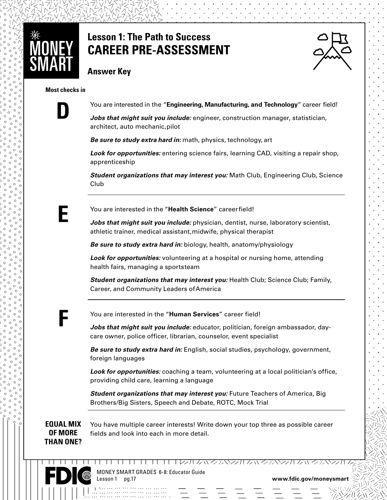

## **Lesson 1: The Path to Success CAREER PRE-ASSESSMENT**



### **Answer Key**

#### **Most checks in**



You are interested in the "**Engineering, Manufacturing, and Technology**" career field!

*Jobs that might suit you include:* engineer, construction manager, statistician, architect, auto mechanic, pilot

*Be sure to study extra hard in:* math, physics, technology, art

*Look for opportunities:* entering science fairs, learning CAD, visiting a repair shop, apprenticeship

*Student organizations that may interest you:* Math Club, Engineering Club, Science Club



**www.fdic.gov/moneysmartization** You are interested in the "**Health Science**" career field!

> *Jobs that might suit you include:* physician, dentist, nurse, laboratory scientist, athletic trainer, medical assistant, midwife, physical therapist

*Be sure to study extra hard in:* biology, health, anatomy/physiology

*Look for opportunities:* volunteering at a hospital or nursing home, attending health fairs, managing a sportsteam

*Student organizations that may interest you:* Health Club; Science Club; Family, Career, and Community Leaders of America



www.coooooooooo

You are interested in the "**Human Services**" career field!

*Jobs that might suit you include:* educator, politician, foreign ambassador, daycare owner, police officer, librarian, counselor, event specialist

*Be sure to study extra hard in:* English, social studies, psychology, government, foreign languages

*Look for opportunities:* coaching a team, volunteering at a local politician's office, providing child care, learning a language

*Student organizations that may interest you: Future Teachers of America, Big* Brothers/Big Sisters, Speech and Debate, ROTC, Mock Trial

**EQUAL MIX OF MORE THAN ONE?**

You have multiple career interests! Write down your top three as possible career fields and look into each in more detail.



MONEY SMART GRADES 6-8: Educator Guide Lesson 1 pg.17 **www.fdic.gov/moneysmart**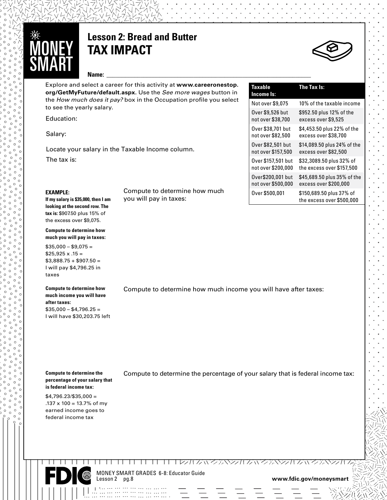

## **Lesson 2: Bread and Butter TAX IMPACT**



Explore and select a career for this activity at **[www.careeronestop.](https://www.careeronestop.org/GetMyFuture/default.aspx) [org/GetMyFuture/default.aspx.](https://www.careeronestop.org/GetMyFuture/default.aspx)** Use the *See more wages* button in the *How much does it pay?* box in the Occupation profile you select to see the yearly salary.

Compute to determine how much

you will pay in taxes:

Education:

Salary:

Locate your salary in the Taxable Income column. The tax is:

#### **EXAMPLE:**

**If my salary is \$35,000, then I am looking at the second row. The tax is:** \$907.50 plus 15% of the excess over \$9,075.

**Compute to determine how much you will pay in taxes:**

 $$35,000 - $9,075 =$  $$25.925 \times .15 =$  $$3,888.75 + $907.50 =$ I will pay \$4,796.25 in taxes

#### **Compute to determine how much income you will have after taxes:**   $$35,000 - $4,796.25 =$ I will have \$30,203.75 left

| ∽<br>∽,<br>r<br>D |
|-------------------|
|-------------------|

| Taxable<br>Income Is: | The Tax Is:                                           |
|-----------------------|-------------------------------------------------------|
| Not over \$9,075      | 10% of the taxable income                             |
| Over \$9,526 but      | \$952.50 plus 12% of the                              |
| not over \$38,700     | excess over \$9,525                                   |
| Over \$38,701 but     | \$4,453.50 plus 22% of the                            |
| not over \$82,500     | excess over \$38,700                                  |
| Over \$82,501 but     | \$14,089.50 plus 24% of the                           |
| not over \$157,500    | excess over \$82,500                                  |
| Over \$157,501 but    | \$32,3089.50 plus 32% of                              |
| not over \$200,000    | the excess over \$157,500                             |
| Over\$200,001 but     | \$45,689.50 plus 35% of the                           |
| not over \$500,000    | excess over \$200,000                                 |
| Over \$500,001        | \$150,689.50 plus 37% of<br>the excess over \$500,000 |

Compute to determine how much income you will have after taxes:

**Compute to determine the percentage of your salary that is federal income tax:**

www.coooooooooo

\$4,796.23/\$35,000 =  $.137 \times 100 = 13.7\% \text{ of my}$ earned income goes to federal income tax

Compute to determine the percentage of your salary that is federal income tax:

MONEY SMART GRADES 6-8: Educator Guide

www.fdic.gov/moneysmart